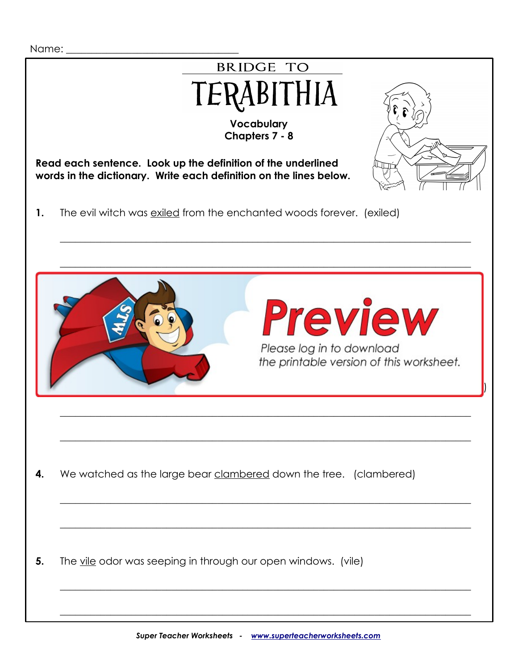